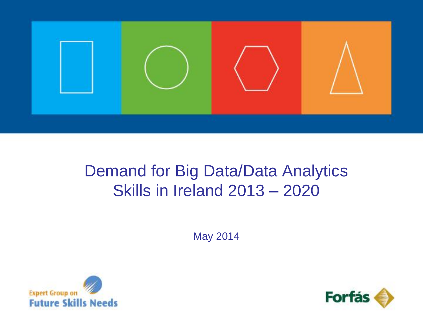

# Demand for Big Data/Data Analytics Skills in Ireland 2013 – 2020

May 2014



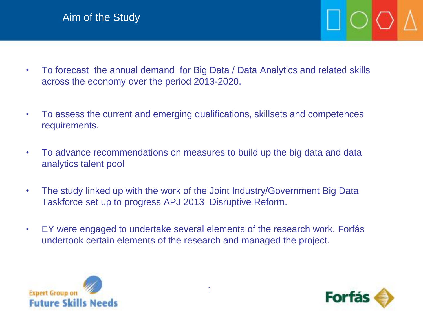- To forecast the annual demand for Big Data / Data Analytics and related skills across the economy over the period 2013-2020.
- To assess the current and emerging qualifications, skillsets and competences requirements.
- To advance recommendations on measures to build up the big data and data analytics talent pool
- The study linked up with the work of the Joint Industry/Government Big Data Taskforce set up to progress APJ 2013 Disruptive Reform.
- EY were engaged to undertake several elements of the research work. Forfás undertook certain elements of the research and managed the project.



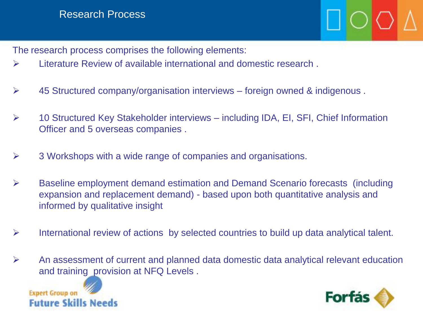## Research Process

The research process comprises the following elements:

- Literature Review of available international and domestic research .
- $\triangleright$  45 Structured company/organisation interviews foreign owned & indigenous.
- 10 Structured Key Stakeholder interviews including IDA, EI, SFI, Chief Information Officer and 5 overseas companies .
- $\triangleright$  3 Workshops with a wide range of companies and organisations.
- Baseline employment demand estimation and Demand Scenario forecasts (including expansion and replacement demand) - based upon both quantitative analysis and informed by qualitative insight
- $\triangleright$  International review of actions by selected countries to build up data analytical talent.
- $\triangleright$  An assessment of current and planned data domestic data analytical relevant education and training provision at NFQ Levels .



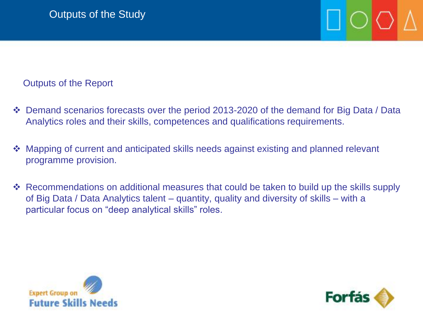Outputs of the Report

- Demand scenarios forecasts over the period 2013-2020 of the demand for Big Data / Data Analytics roles and their skills, competences and qualifications requirements.
- ◆ Mapping of current and anticipated skills needs against existing and planned relevant programme provision.
- Recommendations on additional measures that could be taken to build up the skills supply of Big Data / Data Analytics talent – quantity, quality and diversity of skills – with a particular focus on "deep analytical skills" roles.



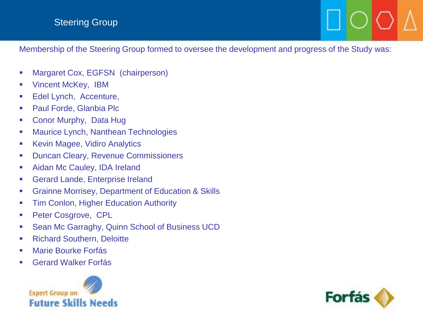### Steering Group

Membership of the Steering Group formed to oversee the development and progress of the Study was:

- **Margaret Cox, EGFSN (chairperson)**
- **•** Vincent McKey, IBM
- **Edel Lynch, Accenture,**
- **Paul Forde, Glanbia Plc**
- **Conor Murphy, Data Hught**
- **Maurice Lynch, Nanthean Technologies**
- **Kevin Magee, Vidiro Analytics**
- **Duncan Cleary, Revenue Commissioners**
- **Aidan Mc Cauley, IDA Ireland**
- **EXECUTE: CHANGE, Enterprise Ireland**
- **EXECTE:** Grainne Morrisey, Department of Education & Skills
- **Tim Conlon, Higher Education Authority**
- **Peter Cosgrove, CPL**
- Sean Mc Garraghy, Quinn School of Business UCD
- **Richard Southern, Deloitte**
- **E Marie Bourke Forfás**
- Gerard Walker Forfás



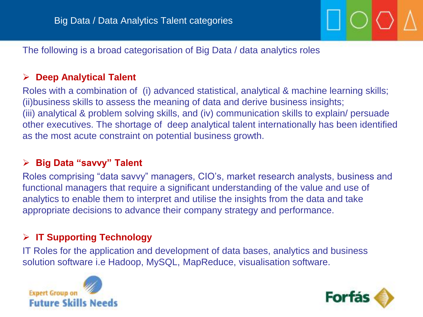The following is a broad categorisation of Big Data / data analytics roles

## **Deep Analytical Talent**

Roles with a combination of (i) advanced statistical, analytical & machine learning skills; (ii)business skills to assess the meaning of data and derive business insights; (iii) analytical & problem solving skills, and (iv) communication skills to explain/ persuade other executives. The shortage of deep analytical talent internationally has been identified as the most acute constraint on potential business growth.

### **Big Data "savvy" Talent**

Roles comprising "data savvy" managers, CIO's, market research analysts, business and functional managers that require a significant understanding of the value and use of analytics to enable them to interpret and utilise the insights from the data and take appropriate decisions to advance their company strategy and performance.

## **IT Supporting Technology**

IT Roles for the application and development of data bases, analytics and business solution software i.e Hadoop, MySQL, MapReduce, visualisation software.



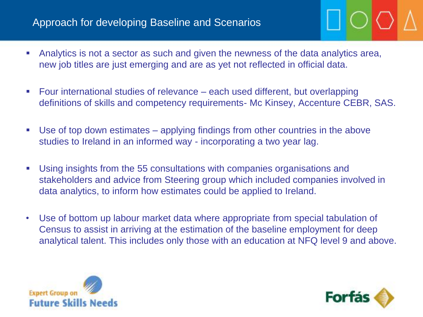## Approach for developing Baseline and Scenarios

- Analytics is not a sector as such and given the newness of the data analytics area, new job titles are just emerging and are as yet not reflected in official data.
- Four international studies of relevance each used different, but overlapping definitions of skills and competency requirements- Mc Kinsey, Accenture CEBR, SAS.
- Use of top down estimates applying findings from other countries in the above studies to Ireland in an informed way - incorporating a two year lag.
- Using insights from the 55 consultations with companies organisations and stakeholders and advice from Steering group which included companies involved in data analytics, to inform how estimates could be applied to Ireland.
- Use of bottom up labour market data where appropriate from special tabulation of Census to assist in arriving at the estimation of the baseline employment for deep analytical talent. This includes only those with an education at NFQ level 9 and above.



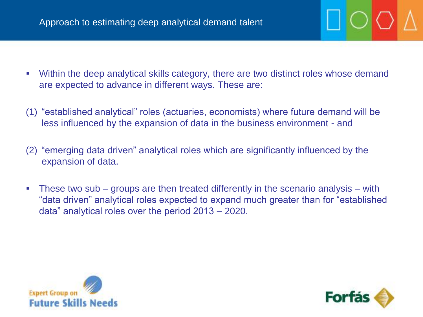- Within the deep analytical skills category, there are two distinct roles whose demand are expected to advance in different ways. These are:
- (1) "established analytical" roles (actuaries, economists) where future demand will be less influenced by the expansion of data in the business environment - and
- (2) "emerging data driven" analytical roles which are significantly influenced by the expansion of data.
- These two sub groups are then treated differently in the scenario analysis with "data driven" analytical roles expected to expand much greater than for "established data" analytical roles over the period 2013 – 2020.



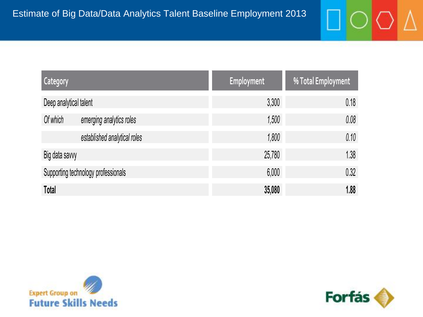| <b>Category</b>                     |                              | <b>Employment</b> | % Total Employment |
|-------------------------------------|------------------------------|-------------------|--------------------|
| Deep analytical talent              |                              | 3,300             | 0.18               |
| Of which                            | emerging analytics roles     | 1,500             | 0.08               |
|                                     | established analytical roles | 1,800             | 0.10               |
| Big data savvy                      |                              | 25,780            | 1.38               |
| Supporting technology professionals |                              | 6,000             | 0.32               |
| Total                               |                              | 35,080            | 1.88               |





 $\Lambda$ 

◯

O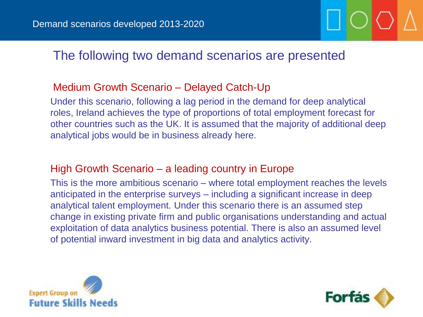## The following two demand scenarios are presented

## Medium Growth Scenario – Delayed Catch-Up

Under this scenario, following a lag period in the demand for deep analytical roles, Ireland achieves the type of proportions of total employment forecast for other countries such as the UK. It is assumed that the majority of additional deep analytical jobs would be in business already here.

## High Growth Scenario – a leading country in Europe

This is the more ambitious scenario – where total employment reaches the levels anticipated in the enterprise surveys – including a significant increase in deep analytical talent employment. Under this scenario there is an assumed step change in existing private firm and public organisations understanding and actual exploitation of data analytics business potential. There is also an assumed level of potential inward investment in big data and analytics activity.



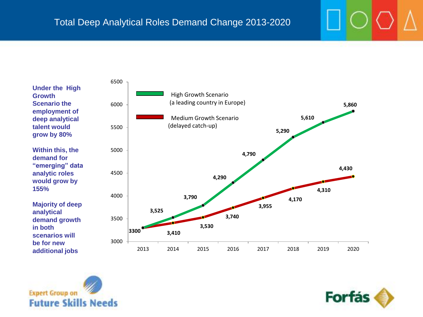**Under the High Growth Scenario the employment of deep analytical talent would grow by 80% Within this, the demand for** 

**"emerging" data analytic roles would grow by 155%**

**Majority of deep analytical demand growth in both scenarios will be for new additional jobs** 





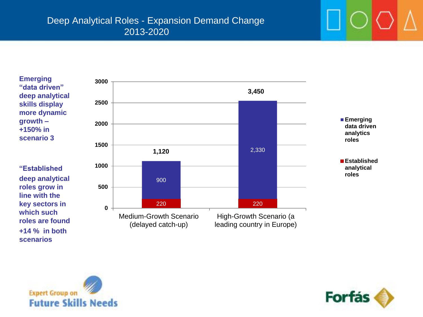**Emerging "data driven" deep analytical skills display more dynamic growth – +150% in scenario 3**

**"Established deep analytical roles grow in line with the key sectors in which such roles are found +14 % in both scenarios**





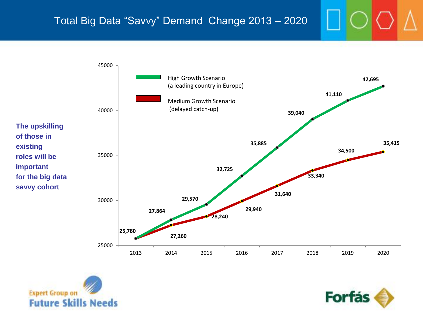## Total Big Data "Savvy" Demand Change 2013 – 2020





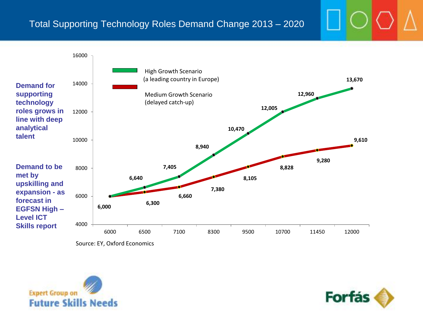## Total Supporting Technology Roles Demand Change 2013 – 2020



Source: EY, Oxford Economics



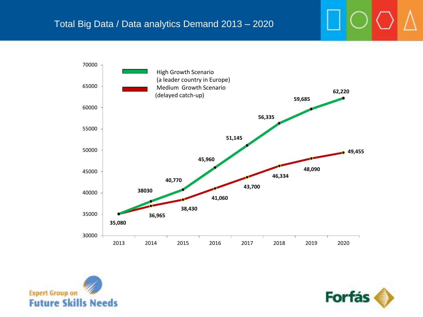



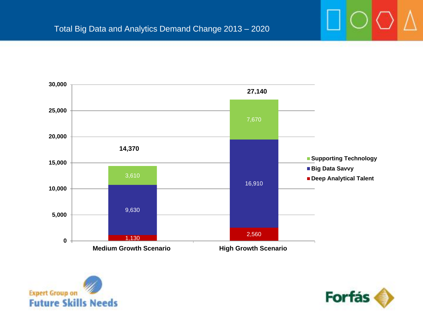



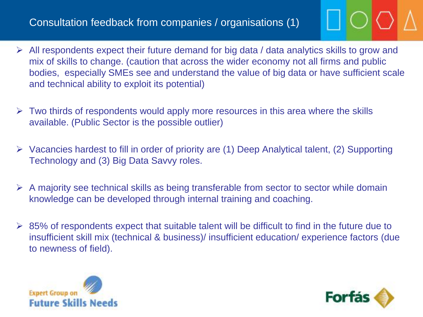## Consultation feedback from companies / organisations (1)

- $\triangleright$  All respondents expect their future demand for big data / data analytics skills to grow and mix of skills to change. (caution that across the wider economy not all firms and public bodies, especially SMEs see and understand the value of big data or have sufficient scale and technical ability to exploit its potential)
- $\triangleright$  Two thirds of respondents would apply more resources in this area where the skills available. (Public Sector is the possible outlier)
- $\triangleright$  Vacancies hardest to fill in order of priority are (1) Deep Analytical talent, (2) Supporting Technology and (3) Big Data Savvy roles.
- $\triangleright$  A majority see technical skills as being transferable from sector to sector while domain knowledge can be developed through internal training and coaching.
- $\geq$  85% of respondents expect that suitable talent will be difficult to find in the future due to insufficient skill mix (technical & business)/ insufficient education/ experience factors (due to newness of field).



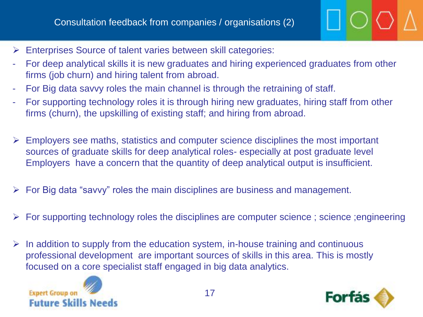- Enterprises Source of talent varies between skill categories:
- For deep analytical skills it is new graduates and hiring experienced graduates from other firms (job churn) and hiring talent from abroad.
- For Big data savvy roles the main channel is through the retraining of staff.
- For supporting technology roles it is through hiring new graduates, hiring staff from other firms (churn), the upskilling of existing staff; and hiring from abroad.
- $\triangleright$  Employers see maths, statistics and computer science disciplines the most important sources of graduate skills for deep analytical roles- especially at post graduate level Employers have a concern that the quantity of deep analytical output is insufficient.
- $\triangleright$  For Big data "savvy" roles the main disciplines are business and management.
- $\triangleright$  For supporting technology roles the disciplines are computer science ; science ; engineering
- $\triangleright$  In addition to supply from the education system, in-house training and continuous professional development are important sources of skills in this area. This is mostly focused on a core specialist staff engaged in big data analytics.



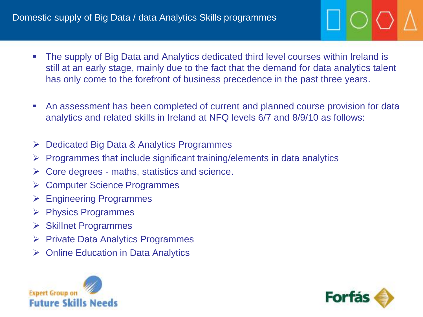- The supply of Big Data and Analytics dedicated third level courses within Ireland is still at an early stage, mainly due to the fact that the demand for data analytics talent has only come to the forefront of business precedence in the past three years.
- An assessment has been completed of current and planned course provision for data analytics and related skills in Ireland at NFQ levels 6/7 and 8/9/10 as follows:
- Dedicated Big Data & Analytics Programmes
- $\triangleright$  Programmes that include significant training/elements in data analytics
- $\triangleright$  Core degrees maths, statistics and science.
- **► Computer Science Programmes**
- $\triangleright$  Engineering Programmes
- $\triangleright$  Physics Programmes
- $\triangleright$  Skillnet Programmes
- $\triangleright$  Private Data Analytics Programmes
- Online Education in Data Analytics



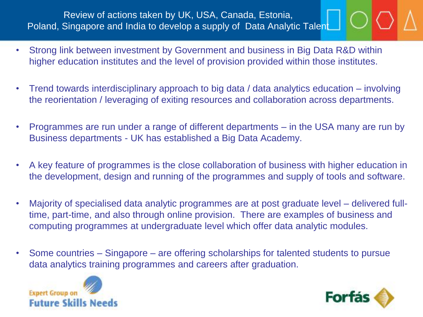## Review of actions taken by UK, USA, Canada, Estonia, Poland, Singapore and India to develop a supply of Data Analytic Talent

- Strong link between investment by Government and business in Big Data R&D within higher education institutes and the level of provision provided within those institutes.
- Trend towards interdisciplinary approach to big data / data analytics education involving the reorientation / leveraging of exiting resources and collaboration across departments.
- Programmes are run under a range of different departments in the USA many are run by Business departments - UK has established a Big Data Academy.
- A key feature of programmes is the close collaboration of business with higher education in the development, design and running of the programmes and supply of tools and software.
- Majority of specialised data analytic programmes are at post graduate level delivered fulltime, part-time, and also through online provision. There are examples of business and computing programmes at undergraduate level which offer data analytic modules.
- Some countries Singapore are offering scholarships for talented students to pursue data analytics training programmes and careers after graduation.



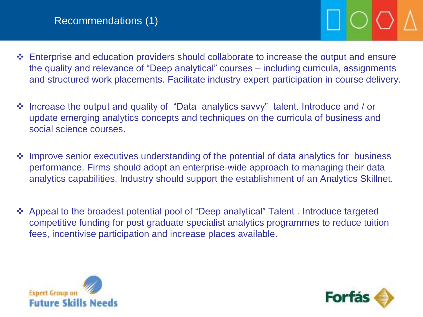- **Enterprise and education providers should collaborate to increase the output and ensure** the quality and relevance of "Deep analytical" courses – including curricula, assignments and structured work placements. Facilitate industry expert participation in course delivery.
- Increase the output and quality of "Data analytics savvy" talent. Introduce and / or update emerging analytics concepts and techniques on the curricula of business and social science courses.
- Improve senior executives understanding of the potential of data analytics for business performance. Firms should adopt an enterprise-wide approach to managing their data analytics capabilities. Industry should support the establishment of an Analytics Skillnet.
- Appeal to the broadest potential pool of "Deep analytical" Talent . Introduce targeted competitive funding for post graduate specialist analytics programmes to reduce tuition fees, incentivise participation and increase places available.